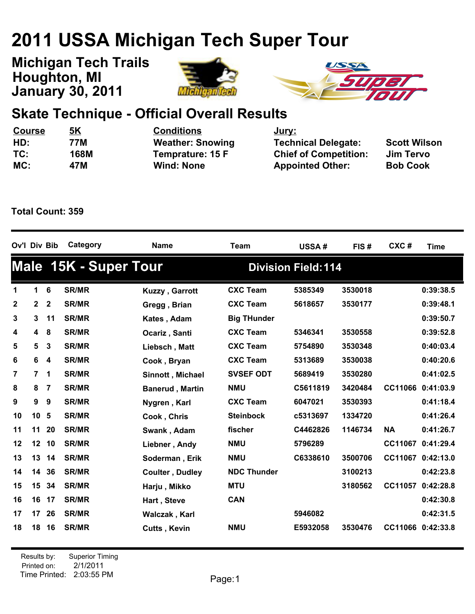## **2011 USSA Michigan Tech Super Tour**

**January 30, 2011 Michigan Tech Trails Houghton, MI**





## **Skate Technique - Official Overall Results**

| <u>Course</u> | <u>5K</u> | <b>Conditions</b>       | <u>Jury:</u>                 |                     |
|---------------|-----------|-------------------------|------------------------------|---------------------|
| HD:           | 77M       | <b>Weather: Snowing</b> | <b>Technical Delegate:</b>   | <b>Scott Wilson</b> |
| TC:           | 168M      | Temprature: 15 F        | <b>Chief of Competition:</b> | Jim Tervo           |
| MC:           | 47M       | <b>Wind: None</b>       | <b>Appointed Other:</b>      | <b>Bob Cook</b>     |

**Total Count: 359**

| Ov'l Div Bib |                |                         | Category                     | <b>Name</b>            | <b>Team</b>        | <b>USSA#</b>               | FIS#    | CXC#           | <b>Time</b>       |
|--------------|----------------|-------------------------|------------------------------|------------------------|--------------------|----------------------------|---------|----------------|-------------------|
|              |                |                         | <b>Male 15K - Super Tour</b> |                        |                    | <b>Division Field: 114</b> |         |                |                   |
| 1            | $\mathbf 1$    | $6\phantom{1}6$         | <b>SR/MR</b>                 | Kuzzy, Garrott         | <b>CXC Team</b>    | 5385349                    | 3530018 |                | 0:39:38.5         |
| $\mathbf{2}$ | $\mathbf{2}$   | $\mathbf{2}$            | <b>SR/MR</b>                 | Gregg, Brian           | <b>CXC Team</b>    | 5618657                    | 3530177 |                | 0:39:48.1         |
| 3            | 3              | 11                      | <b>SR/MR</b>                 | Kates, Adam            | <b>Big THunder</b> |                            |         |                | 0:39:50.7         |
| 4            | 4              | 8                       | <b>SR/MR</b>                 | Ocariz, Santi          | <b>CXC Team</b>    | 5346341                    | 3530558 |                | 0:39:52.8         |
| 5            | 5              | $\mathbf{3}$            | <b>SR/MR</b>                 | Liebsch, Matt          | <b>CXC Team</b>    | 5754890                    | 3530348 |                | 0:40:03.4         |
| 6            | 6              | $\overline{\mathbf{4}}$ | <b>SR/MR</b>                 | Cook, Bryan            | <b>CXC Team</b>    | 5313689                    | 3530038 |                | 0:40:20.6         |
| 7            | $\overline{7}$ | 1                       | <b>SR/MR</b>                 | Sinnott, Michael       | <b>SVSEF ODT</b>   | 5689419                    | 3530280 |                | 0:41:02.5         |
| 8            | 8              | 7                       | <b>SR/MR</b>                 | <b>Banerud, Martin</b> | <b>NMU</b>         | C5611819                   | 3420484 | CC11066        | 0:41:03.9         |
| 9            | 9              | 9                       | <b>SR/MR</b>                 | Nygren, Karl           | <b>CXC Team</b>    | 6047021                    | 3530393 |                | 0:41:18.4         |
| 10           | 10             | 5                       | <b>SR/MR</b>                 | Cook, Chris            | <b>Steinbock</b>   | c5313697                   | 1334720 |                | 0:41:26.4         |
| 11           | 11             | 20                      | <b>SR/MR</b>                 | Swank, Adam            | fischer            | C4462826                   | 1146734 | <b>NA</b>      | 0:41:26.7         |
| 12           | 12             | 10                      | <b>SR/MR</b>                 | Liebner, Andy          | <b>NMU</b>         | 5796289                    |         | <b>CC11067</b> | 0:41:29.4         |
| 13           | 13 14          |                         | <b>SR/MR</b>                 | Soderman, Erik         | <b>NMU</b>         | C6338610                   | 3500706 |                | CC11067 0:42:13.0 |
| 14           | 14             | 36                      | <b>SR/MR</b>                 | <b>Coulter, Dudley</b> | <b>NDC Thunder</b> |                            | 3100213 |                | 0:42:23.8         |
| 15           |                | 15 34                   | <b>SR/MR</b>                 | Harju, Mikko           | <b>MTU</b>         |                            | 3180562 | <b>CC11057</b> | 0:42:28.8         |
| 16           | 16 17          |                         | <b>SR/MR</b>                 | Hart, Steve            | <b>CAN</b>         |                            |         |                | 0:42:30.8         |
| 17           | 17             | 26                      | <b>SR/MR</b>                 | Walczak, Karl          |                    | 5946082                    |         |                | 0:42:31.5         |
| 18           | 18             | 16                      | <b>SR/MR</b>                 | <b>Cutts, Kevin</b>    | <b>NMU</b>         | E5932058                   | 3530476 |                | CC11066 0:42:33.8 |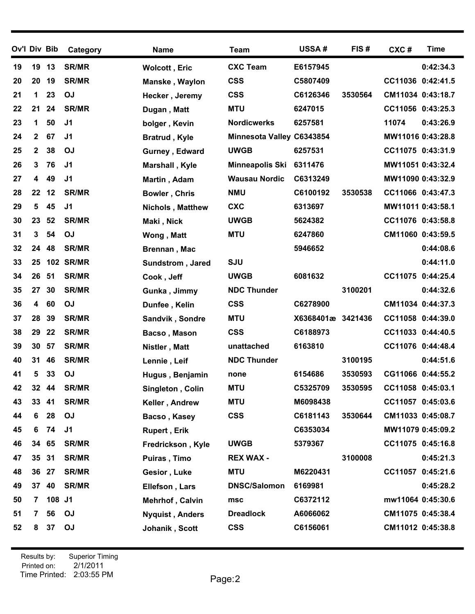| 19<br>20<br>21<br>22<br>23<br>24 | 19<br>20        | 13     | <b>SR/MR</b>     |                         |                           |                   |         |                   |           |
|----------------------------------|-----------------|--------|------------------|-------------------------|---------------------------|-------------------|---------|-------------------|-----------|
|                                  |                 |        |                  | <b>Wolcott, Eric</b>    | <b>CXC Team</b>           | E6157945          |         |                   | 0:42:34.3 |
|                                  |                 | 19     | <b>SR/MR</b>     | Manske, Waylon          | <b>CSS</b>                | C5807409          |         | CC11036 0:42:41.5 |           |
|                                  | $\mathbf 1$     | 23     | <b>OJ</b>        | Hecker, Jeremy          | <b>CSS</b>                | C6126346          | 3530564 | CM11034 0:43:18.7 |           |
|                                  | 21              | 24     | <b>SR/MR</b>     | Dugan, Matt             | <b>MTU</b>                | 6247015           |         | CC11056 0:43:25.3 |           |
|                                  | $\mathbf 1$     | 50     | J <sub>1</sub>   | bolger, Kevin           | <b>Nordicwerks</b>        | 6257581           |         | 11074             | 0:43:26.9 |
|                                  | $\mathbf{2}$    | 67     | J1               | <b>Bratrud, Kyle</b>    | Minnesota Valley C6343854 |                   |         | MW11016 0:43:28.8 |           |
| 25                               | $\mathbf{2}$    | 38     | <b>OJ</b>        | Gurney, Edward          | <b>UWGB</b>               | 6257531           |         | CC11075 0:43:31.9 |           |
| 26                               | 3               | 76     | J <sub>1</sub>   | Marshall, Kyle          | Minneapolis Ski           | 6311476           |         | MW11051 0:43:32.4 |           |
| 27                               | 4               | 49     | J <sub>1</sub>   | Martin, Adam            | <b>Wausau Nordic</b>      | C6313249          |         | MW11090 0:43:32.9 |           |
| 28                               | 22              | 12     | <b>SR/MR</b>     | <b>Bowler, Chris</b>    | <b>NMU</b>                | C6100192          | 3530538 | CC11066 0:43:47.3 |           |
| 29                               | 5               | 45     | J <sub>1</sub>   | <b>Nichols, Matthew</b> | <b>CXC</b>                | 6313697           |         | MW11011 0:43:58.1 |           |
| 30                               | 23              | 52     | <b>SR/MR</b>     | Maki, Nick              | <b>UWGB</b>               | 5624382           |         | CC11076 0:43:58.8 |           |
| 31                               | 3               | 54     | <b>OJ</b>        | Wong, Matt              | <b>MTU</b>                | 6247860           |         | CM11060 0:43:59.5 |           |
| 32                               | 24              | 48     | <b>SR/MR</b>     | Brennan, Mac            |                           | 5946652           |         |                   | 0:44:08.6 |
| 33                               | 25              |        | <b>102 SR/MR</b> | Sundstrom, Jared        | <b>SJU</b>                |                   |         |                   | 0:44:11.0 |
| 34                               | 26              | 51     | <b>SR/MR</b>     | Cook, Jeff              | <b>UWGB</b>               | 6081632           |         | CC11075 0:44:25.4 |           |
| 35                               | 27              | 30     | <b>SR/MR</b>     | Gunka, Jimmy            | <b>NDC Thunder</b>        |                   | 3100201 |                   | 0:44:32.6 |
| 36                               | 4               | 60     | <b>OJ</b>        | Dunfee, Kelin           | <b>CSS</b>                | C6278900          |         | CM11034 0:44:37.3 |           |
| 37                               | 28              | 39     | <b>SR/MR</b>     | Sandvik, Sondre         | <b>MTU</b>                | X6368401æ 3421436 |         | CC11058 0:44:39.0 |           |
| 38                               | 29              | 22     | <b>SR/MR</b>     | Bacso, Mason            | <b>CSS</b>                | C6188973          |         | CC11033 0:44:40.5 |           |
| 39                               | 30              | 57     | <b>SR/MR</b>     | Nistler, Matt           | unattached                | 6163810           |         | CC11076 0:44:48.4 |           |
| 40                               | 31              | 46     | <b>SR/MR</b>     | Lennie, Leif            | <b>NDC Thunder</b>        |                   | 3100195 |                   | 0:44:51.6 |
| 41                               | 5               | 33     | <b>OJ</b>        | Hugus, Benjamin         | none                      | 6154686           | 3530593 | CG11066 0:44:55.2 |           |
| 42                               | 32 44           |        | <b>SR/MR</b>     | Singleton, Colin        | <b>MTU</b>                | C5325709          | 3530595 | CC11058 0:45:03.1 |           |
| 43                               | 33 <sub>o</sub> | 41     | <b>SR/MR</b>     | Keller, Andrew          | <b>MTU</b>                | M6098438          |         | CC11057 0:45:03.6 |           |
| 44                               | 6               | 28     | OJ               | Bacso, Kasey            | <b>CSS</b>                | C6181143          | 3530644 | CM11033 0:45:08.7 |           |
| 45                               | 6               | 74     | J <sub>1</sub>   | <b>Rupert, Erik</b>     |                           | C6353034          |         | MW11079 0:45:09.2 |           |
| 46                               | 34 65           |        | <b>SR/MR</b>     | Fredrickson, Kyle       | <b>UWGB</b>               | 5379367           |         | CC11075 0:45:16.8 |           |
| 47                               | 35 <sub>o</sub> | 31     | <b>SR/MR</b>     | Puiras, Timo            | <b>REX WAX -</b>          |                   | 3100008 |                   | 0:45:21.3 |
| 48                               | 36 27           |        | <b>SR/MR</b>     | Gesior, Luke            | <b>MTU</b>                | M6220431          |         | CC11057 0:45:21.6 |           |
| 49                               | 37              | 40     | <b>SR/MR</b>     | Ellefson, Lars          | <b>DNSC/Salomon</b>       | 6169981           |         |                   | 0:45:28.2 |
| 50                               | $\mathbf{7}$    | 108 J1 |                  | Mehrhof, Calvin         | msc                       | C6372112          |         | mw11064 0:45:30.6 |           |
| 51                               | 7               | 56     | OJ               | <b>Nyquist, Anders</b>  | <b>Dreadlock</b>          | A6066062          |         | CM11075 0:45:38.4 |           |
| 52                               | 8               | 37     | OJ               | Johanik, Scott          | <b>CSS</b>                | C6156061          |         | CM11012 0:45:38.8 |           |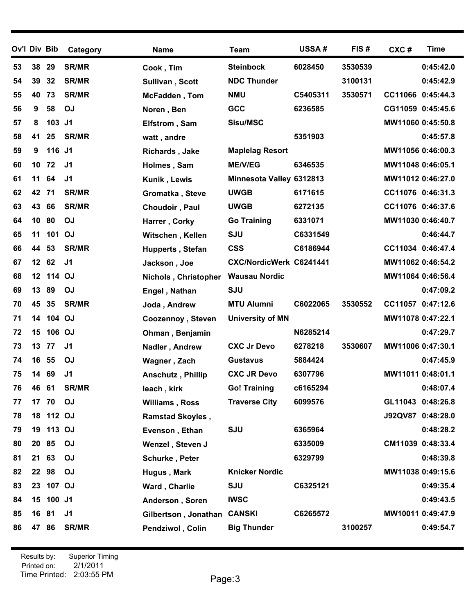| Ov'l Div Bib |                 |           | Category       | <b>Name</b>                 | <b>Team</b>              | <b>USSA#</b> | FIS#    | CXC#              | <b>Time</b>       |
|--------------|-----------------|-----------|----------------|-----------------------------|--------------------------|--------------|---------|-------------------|-------------------|
| 53           | 38              | 29        | <b>SR/MR</b>   | Cook, Tim                   | <b>Steinbock</b>         | 6028450      | 3530539 |                   | 0:45:42.0         |
| 54           | 39              | 32        | <b>SR/MR</b>   | Sullivan, Scott             | <b>NDC Thunder</b>       |              | 3100131 |                   | 0:45:42.9         |
| 55           | 40              | 73        | <b>SR/MR</b>   | <b>McFadden, Tom</b>        | <b>NMU</b>               | C5405311     | 3530571 | CC11066 0:45:44.3 |                   |
| 56           | 9               | 58        | <b>OJ</b>      | Noren, Ben                  | GCC                      | 6236585      |         | CG11059 0:45:45.6 |                   |
| 57           | 8               | 103       | J <sub>1</sub> | Elfstrom, Sam               | Sisu/MSC                 |              |         | MW11060 0:45:50.8 |                   |
| 58           | 41              | 25        | <b>SR/MR</b>   | watt, andre                 |                          | 5351903      |         |                   | 0:45:57.8         |
| 59           | 9               | 116 J1    |                | <b>Richards, Jake</b>       | <b>Maplelag Resort</b>   |              |         | MW11056 0:46:00.3 |                   |
| 60           | 10              | 72        | J <sub>1</sub> | Holmes, Sam                 | <b>ME/V/EG</b>           | 6346535      |         | MW11048 0:46:05.1 |                   |
| 61           | 11              | 64        | J <sub>1</sub> | Kunik, Lewis                | Minnesota Valley 6312813 |              |         | MW11012 0:46:27.0 |                   |
| 62           | 42              | 71        | <b>SR/MR</b>   | Gromatka, Steve             | <b>UWGB</b>              | 6171615      |         | CC11076 0:46:31.3 |                   |
| 63           | 43              | 66        | <b>SR/MR</b>   | Choudoir, Paul              | <b>UWGB</b>              | 6272135      |         | CC11076 0:46:37.6 |                   |
| 64           | 10              | 80        | <b>OJ</b>      | Harrer, Corky               | <b>Go Training</b>       | 6331071      |         | MW11030 0:46:40.7 |                   |
| 65           | 11              | 101 OJ    |                | Witschen, Kellen            | <b>SJU</b>               | C6331549     |         |                   | 0:46:44.7         |
| 66           | 44              | 53        | <b>SR/MR</b>   | <b>Hupperts, Stefan</b>     | <b>CSS</b>               | C6186944     |         | CC11034 0:46:47.4 |                   |
| 67           |                 | 12 62     | J <sub>1</sub> | Jackson, Joe                | CXC/NordicWerk C6241441  |              |         | MW11062 0:46:54.2 |                   |
| 68           | 12 <sup>1</sup> | 114 OJ    |                | <b>Nichols, Christopher</b> | <b>Wausau Nordic</b>     |              |         | MW11064 0:46:56.4 |                   |
| 69           | 13              | 89        | <b>OJ</b>      | Engel, Nathan               | SJU                      |              |         |                   | 0:47:09.2         |
| 70           | 45              | 35        | <b>SR/MR</b>   | Joda, Andrew                | <b>MTU Alumni</b>        | C6022065     | 3530552 | CC11057 0:47:12.6 |                   |
| 71           | 14              | 104 OJ    |                | Coozennoy, Steven           | <b>University of MN</b>  |              |         | MW11078 0:47:22.1 |                   |
| 72           | 15              | 106 OJ    |                | Ohman, Benjamin             |                          | N6285214     |         |                   | 0:47:29.7         |
| 73           | 13              | 77        | J <sub>1</sub> | Nadler, Andrew              | <b>CXC Jr Devo</b>       | 6278218      | 3530607 | MW11006 0:47:30.1 |                   |
| 74           | 16              | 55        | <b>OJ</b>      | Wagner, Zach                | <b>Gustavus</b>          | 5884424      |         |                   | 0:47:45.9         |
| 75           | 14              | 69        | J <sub>1</sub> | <b>Anschutz, Phillip</b>    | <b>CXC JR Devo</b>       | 6307796      |         | MW11011 0:48:01.1 |                   |
| 76           | 46              | 61        | <b>SR/MR</b>   | leach, kirk                 | <b>Go! Training</b>      | c6165294     |         |                   | 0:48:07.4         |
| 77           | 17              | 70        | <b>OJ</b>      | <b>Williams, Ross</b>       | <b>Traverse City</b>     | 6099576      |         | GL11043 0:48:26.8 |                   |
| 78           |                 | 18 112 OJ |                | <b>Ramstad Skoyles,</b>     |                          |              |         |                   | J92QV87 0:48:28.0 |
| 79           |                 | 19 113 OJ |                | Evenson, Ethan              | <b>SJU</b>               | 6365964      |         |                   | 0:48:28.2         |
| 80           |                 | 20 85     | OJ             | Wenzel, Steven J            |                          | 6335009      |         |                   | CM11039 0:48:33.4 |
| 81           | 21              | 63        | <b>OJ</b>      | Schurke, Peter              |                          | 6329799      |         |                   | 0:48:39.8         |
| 82           |                 | 22 98     | OJ             | Hugus, Mark                 | <b>Knicker Nordic</b>    |              |         |                   | MW11038 0:49:15.6 |
| 83           |                 | 23 107 OJ |                | Ward, Charlie               | SJU                      | C6325121     |         |                   | 0:49:35.4         |
| 84           |                 | 15 100 J1 |                | Anderson, Soren             | <b>IWSC</b>              |              |         |                   | 0:49:43.5         |
| 85           | 16 81           |           | J <sub>1</sub> | Gilbertson, Jonathan CANSKI |                          | C6265572     |         | MW10011 0:49:47.9 |                   |
| 86           |                 | 47 86     | <b>SR/MR</b>   | Pendziwol, Colin            | <b>Big Thunder</b>       |              | 3100257 |                   | 0:49:54.7         |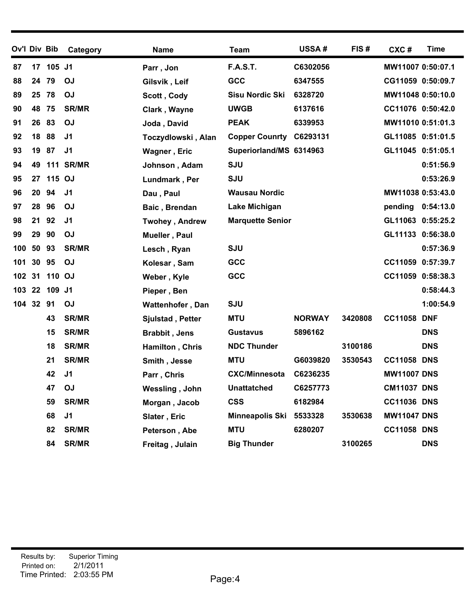| Ov'l Div Bib |    |           | Category         | <b>Name</b>             | <b>Team</b>             | <b>USSA#</b>  | FIS#    | CXC#               | Time       |
|--------------|----|-----------|------------------|-------------------------|-------------------------|---------------|---------|--------------------|------------|
| 87           |    | 17 105 J1 |                  | Parr, Jon               | <b>F.A.S.T.</b>         | C6302056      |         | MW11007 0:50:07.1  |            |
| 88           | 24 | 79        | <b>OJ</b>        | Gilsvik, Leif           | GCC                     | 6347555       |         | CG11059 0:50:09.7  |            |
| 89           | 25 | 78        | <b>OJ</b>        | Scott, Cody             | <b>Sisu Nordic Ski</b>  | 6328720       |         | MW11048 0:50:10.0  |            |
| 90           | 48 | 75        | <b>SR/MR</b>     | Clark, Wayne            | <b>UWGB</b>             | 6137616       |         | CC11076 0:50:42.0  |            |
| 91           | 26 | 83        | <b>OJ</b>        | Joda, David             | <b>PEAK</b>             | 6339953       |         | MW11010 0:51:01.3  |            |
| 92           | 18 | 88        | J <sub>1</sub>   | Toczydlowski, Alan      | <b>Copper Counrty</b>   | C6293131      |         | GL11085 0:51:01.5  |            |
| 93           | 19 | 87        | J <sub>1</sub>   | Wagner, Eric            | Superiorland/MS 6314963 |               |         | GL11045 0:51:05.1  |            |
| 94           | 49 |           | <b>111 SR/MR</b> | Johnson, Adam           | <b>SJU</b>              |               |         |                    | 0:51:56.9  |
| 95           | 27 | 115 OJ    |                  | Lundmark, Per           | <b>SJU</b>              |               |         |                    | 0:53:26.9  |
| 96           | 20 | 94        | J <sub>1</sub>   | Dau, Paul               | <b>Wausau Nordic</b>    |               |         | MW11038 0:53:43.0  |            |
| 97           | 28 | 96        | <b>OJ</b>        | Baic, Brendan           | Lake Michigan           |               |         | pending            | 0:54:13.0  |
| 98           | 21 | 92        | J <sub>1</sub>   | <b>Twohey, Andrew</b>   | <b>Marquette Senior</b> |               |         | GL11063 0:55:25.2  |            |
| 99           | 29 | 90        | <b>OJ</b>        | Mueller, Paul           |                         |               |         | GL11133 0:56:38.0  |            |
| 100          | 50 | 93        | <b>SR/MR</b>     | Lesch, Ryan             | <b>SJU</b>              |               |         |                    | 0:57:36.9  |
| 101          | 30 | 95        | <b>OJ</b>        | Kolesar, Sam            | GCC                     |               |         | CC11059 0:57:39.7  |            |
| 102 31       |    | 110 OJ    |                  | Weber, Kyle             | GCC                     |               |         | CC11059 0:58:38.3  |            |
| 103          |    | 22 109 J1 |                  | Pieper, Ben             |                         |               |         |                    | 0:58:44.3  |
| 104 32       |    | 91        | <b>OJ</b>        | <b>Wattenhofer, Dan</b> | <b>SJU</b>              |               |         |                    | 1:00:54.9  |
|              |    | 43        | <b>SR/MR</b>     | <b>Sjulstad, Petter</b> | <b>MTU</b>              | <b>NORWAY</b> | 3420808 | <b>CC11058 DNF</b> |            |
|              |    | 15        | <b>SR/MR</b>     | <b>Brabbit, Jens</b>    | <b>Gustavus</b>         | 5896162       |         |                    | <b>DNS</b> |
|              |    | 18        | <b>SR/MR</b>     | Hamilton, Chris         | <b>NDC Thunder</b>      |               | 3100186 |                    | <b>DNS</b> |
|              |    | 21        | <b>SR/MR</b>     | Smith, Jesse            | <b>MTU</b>              | G6039820      | 3530543 | <b>CC11058 DNS</b> |            |
|              |    | 42        | J <sub>1</sub>   | Parr, Chris             | <b>CXC/Minnesota</b>    | C6236235      |         | <b>MW11007 DNS</b> |            |
|              |    | 47        | OJ               | Wessling, John          | <b>Unattatched</b>      | C6257773      |         | <b>CM11037 DNS</b> |            |
|              |    | 59        | <b>SR/MR</b>     | Morgan, Jacob           | <b>CSS</b>              | 6182984       |         | <b>CC11036 DNS</b> |            |
|              |    | 68        | J <sub>1</sub>   | Slater, Eric            | <b>Minneapolis Ski</b>  | 5533328       | 3530638 | <b>MW11047 DNS</b> |            |
|              |    | 82        | <b>SR/MR</b>     | Peterson, Abe           | <b>MTU</b>              | 6280207       |         | <b>CC11058 DNS</b> |            |
|              |    | 84        | <b>SR/MR</b>     | Freitag, Julain         | <b>Big Thunder</b>      |               | 3100265 |                    | <b>DNS</b> |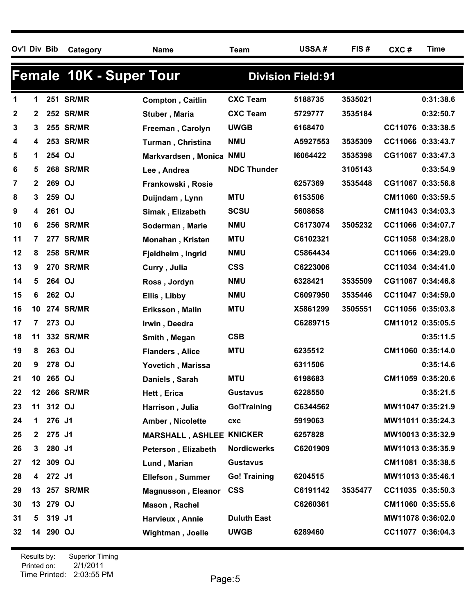| Ov'l Div Bib |              |           | Category                       | <b>Name</b>               | <b>Team</b>         | USSA#                     | FIS#    | CXC#              | <b>Time</b> |
|--------------|--------------|-----------|--------------------------------|---------------------------|---------------------|---------------------------|---------|-------------------|-------------|
|              |              |           | <b>Female 10K - Super Tour</b> |                           |                     | <b>Division Field: 91</b> |         |                   |             |
| 1            | 1.           |           | <b>251 SR/MR</b>               | Compton, Caitlin          | <b>CXC Team</b>     | 5188735                   | 3535021 |                   | 0:31:38.6   |
| $\mathbf{2}$ | 2            |           | <b>252 SR/MR</b>               | Stuber, Maria             | <b>CXC Team</b>     | 5729777                   | 3535184 |                   | 0:32:50.7   |
| 3            | 3.           |           | <b>255 SR/MR</b>               | Freeman, Carolyn          | <b>UWGB</b>         | 6168470                   |         | CC11076 0:33:38.5 |             |
| 4            | 4            |           | 253 SR/MR                      | Turman, Christina         | <b>NMU</b>          | A5927553                  | 3535309 | CC11066 0:33:43.7 |             |
| 5            | 1.           | 254 OJ    |                                | Markvardsen, Monica       | <b>NMU</b>          | 16064422                  | 3535398 | CG11067 0:33:47.3 |             |
| 6            | 5            |           | <b>268 SR/MR</b>               | Lee, Andrea               | <b>NDC Thunder</b>  |                           | 3105143 |                   | 0:33:54.9   |
| 7            | $\mathbf{2}$ | 269 OJ    |                                | Frankowski, Rosie         |                     | 6257369                   | 3535448 | CG11067 0:33:56.8 |             |
| 8            | 3            | 259 OJ    |                                | Duijndam, Lynn            | <b>MTU</b>          | 6153506                   |         | CM11060 0:33:59.5 |             |
| 9            | 4            | 261 OJ    |                                | Simak, Elizabeth          | <b>SCSU</b>         | 5608658                   |         | CM11043 0:34:03.3 |             |
| 10           | 6            |           | <b>256 SR/MR</b>               | Soderman, Marie           | <b>NMU</b>          | C6173074                  | 3505232 | CC11066 0:34:07.7 |             |
| 11           | 7            |           | <b>277 SR/MR</b>               | <b>Monahan, Kristen</b>   | <b>MTU</b>          | C6102321                  |         | CC11058 0:34:28.0 |             |
| 12           | 8            |           | <b>258 SR/MR</b>               | Fjeldheim, Ingrid         | <b>NMU</b>          | C5864434                  |         | CC11066 0:34:29.0 |             |
| 13           | 9            |           | <b>270 SR/MR</b>               | Curry, Julia              | <b>CSS</b>          | C6223006                  |         | CC11034 0:34:41.0 |             |
| 14           | 5            | 264 OJ    |                                | Ross, Jordyn              | <b>NMU</b>          | 6328421                   | 3535509 | CG11067 0:34:46.8 |             |
| 15           | 6            | 262 OJ    |                                | Ellis, Libby              | <b>NMU</b>          | C6097950                  | 3535446 | CC11047 0:34:59.0 |             |
| 16           |              |           | 10 274 SR/MR                   | Eriksson, Malin           | <b>MTU</b>          | X5861299                  | 3505551 | CC11056 0:35:03.8 |             |
| 17           | $\mathbf{7}$ | 273 OJ    |                                | Irwin, Deedra             |                     | C6289715                  |         | CM11012 0:35:05.5 |             |
| 18           | 11           |           | 332 SR/MR                      | Smith, Megan              | <b>CSB</b>          |                           |         |                   | 0:35:11.5   |
| 19           | 8            | 263 OJ    |                                | <b>Flanders, Alice</b>    | <b>MTU</b>          | 6235512                   |         | CM11060 0:35:14.0 |             |
| 20           | 9            | 278 OJ    |                                | Yovetich, Marissa         |                     | 6311506                   |         |                   | 0:35:14.6   |
| 21           |              | 10 265 OJ |                                | Daniels, Sarah            | <b>MTU</b>          | 6198683                   |         | CM11059 0:35:20.6 |             |
| 22           |              |           | 12 266 SR/MR                   | Hett, Erica               | <b>Gustavus</b>     | 6228550                   |         |                   | 0:35:21.5   |
| 23           |              | 11 312 OJ |                                | Harrison, Julia           | <b>Go!Training</b>  | C6344562                  |         | MW11047 0:35:21.9 |             |
| 24           |              | 1 276 J1  |                                | Amber, Nicolette          | <b>CXC</b>          | 5919063                   |         | MW11011 0:35:24.3 |             |
| 25           |              | 2 275 J1  |                                | <b>MARSHALL, ASHLEE</b>   | <b>KNICKER</b>      | 6257828                   |         | MW10013 0:35:32.9 |             |
| 26           |              | 3 280 J1  |                                | Peterson, Elizabeth       | <b>Nordicwerks</b>  | C6201909                  |         | MW11013 0:35:35.9 |             |
| 27           |              | 12 309 OJ |                                | Lund, Marian              | <b>Gustavus</b>     |                           |         | CM11081 0:35:38.5 |             |
| 28           |              | 4 272 J1  |                                | <b>Ellefson, Summer</b>   | <b>Go! Training</b> | 6204515                   |         | MW11013 0:35:46.1 |             |
| 29           |              |           | 13 257 SR/MR                   | <b>Magnusson, Eleanor</b> | <b>CSS</b>          | C6191142                  | 3535477 | CC11035 0:35:50.3 |             |
| 30           |              | 13 279 OJ |                                | Mason, Rachel             |                     | C6260361                  |         | CM11060 0:35:55.6 |             |
| 31           |              | 5 319 J1  |                                | Harvieux, Annie           | <b>Duluth East</b>  |                           |         | MW11078 0:36:02.0 |             |
| 32           |              | 14 290 OJ |                                | <b>Wightman, Joelle</b>   | <b>UWGB</b>         | 6289460                   |         | CC11077 0:36:04.3 |             |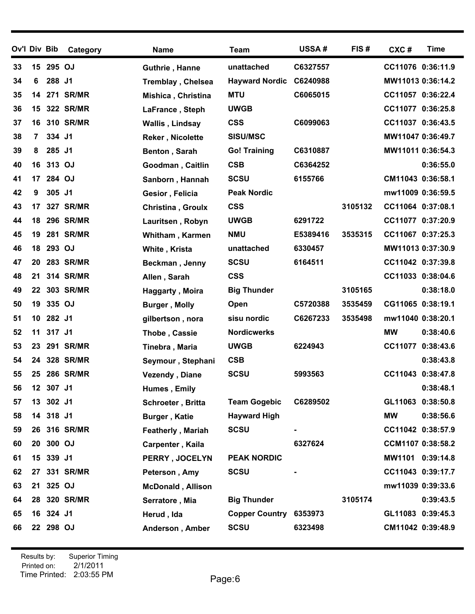| Ov'l Div Bib |    |           | Category         | <b>Name</b>              | <b>Team</b>           | <b>USSA#</b> | FIS#    | CXC#              | <b>Time</b> |
|--------------|----|-----------|------------------|--------------------------|-----------------------|--------------|---------|-------------------|-------------|
| 33           | 15 | 295 OJ    |                  | Guthrie, Hanne           | unattached            | C6327557     |         | CC11076 0:36:11.9 |             |
| 34           | 6  | 288 J1    |                  | <b>Tremblay, Chelsea</b> | <b>Hayward Nordic</b> | C6240988     |         | MW11013 0:36:14.2 |             |
| 35           | 14 |           | <b>271 SR/MR</b> | Mishica, Christina       | <b>MTU</b>            | C6065015     |         | CC11057 0:36:22.4 |             |
| 36           | 15 |           | <b>322 SR/MR</b> | LaFrance, Steph          | <b>UWGB</b>           |              |         | CC11077 0:36:25.8 |             |
| 37           | 16 |           | <b>310 SR/MR</b> | Wallis, Lindsay          | <b>CSS</b>            | C6099063     |         | CC11037 0:36:43.5 |             |
| 38           | 7  | 334       | J <sub>1</sub>   | <b>Reker, Nicolette</b>  | <b>SISU/MSC</b>       |              |         | MW11047 0:36:49.7 |             |
| 39           | 8  | 285 J1    |                  | Benton, Sarah            | <b>Go! Training</b>   | C6310887     |         | MW11011 0:36:54.3 |             |
| 40           | 16 | 313 OJ    |                  | Goodman, Caitlin         | <b>CSB</b>            | C6364252     |         |                   | 0:36:55.0   |
| 41           | 17 | 284 OJ    |                  | Sanborn, Hannah          | <b>SCSU</b>           | 6155766      |         | CM11043 0:36:58.1 |             |
| 42           | 9  | 305 J1    |                  | Gesior, Felicia          | <b>Peak Nordic</b>    |              |         | mw11009 0:36:59.5 |             |
| 43           | 17 |           | <b>327 SR/MR</b> | <b>Christina, Groulx</b> | <b>CSS</b>            |              | 3105132 | CC11064 0:37:08.1 |             |
| 44           | 18 |           | <b>296 SR/MR</b> | Lauritsen, Robyn         | <b>UWGB</b>           | 6291722      |         | CC11077 0:37:20.9 |             |
| 45           | 19 |           | <b>281 SR/MR</b> | <b>Whitham, Karmen</b>   | <b>NMU</b>            | E5389416     | 3535315 | CC11067 0:37:25.3 |             |
| 46           | 18 | 293 OJ    |                  | White, Krista            | unattached            | 6330457      |         | MW11013 0:37:30.9 |             |
| 47           | 20 |           | <b>283 SR/MR</b> | Beckman, Jenny           | <b>SCSU</b>           | 6164511      |         | CC11042 0:37:39.8 |             |
| 48           | 21 |           | 314 SR/MR        | Allen, Sarah             | <b>CSS</b>            |              |         | CC11033 0:38:04.6 |             |
| 49           | 22 |           | 303 SR/MR        | Haggarty, Moira          | <b>Big Thunder</b>    |              | 3105165 |                   | 0:38:18.0   |
| 50           | 19 | 335 OJ    |                  | <b>Burger, Molly</b>     | Open                  | C5720388     | 3535459 | CG11065 0:38:19.1 |             |
| 51           | 10 | 282 J1    |                  | gilbertson, nora         | sisu nordic           | C6267233     | 3535498 | mw11040 0:38:20.1 |             |
| 52           | 11 | 317 J1    |                  | Thobe, Cassie            | <b>Nordicwerks</b>    |              |         | <b>MW</b>         | 0:38:40.6   |
| 53           | 23 |           | <b>291 SR/MR</b> | Tinebra, Maria           | <b>UWGB</b>           | 6224943      |         | CC11077 0:38:43.6 |             |
| 54           | 24 |           | <b>328 SR/MR</b> | Seymour, Stephani        | <b>CSB</b>            |              |         |                   | 0:38:43.8   |
| 55           | 25 |           | <b>286 SR/MR</b> | <b>Vezendy, Diane</b>    | <b>SCSU</b>           | 5993563      |         | CC11043 0:38:47.8 |             |
| 56           |    | 12 307 J1 |                  | Humes, Emily             |                       |              |         |                   | 0:38:48.1   |
| 57           | 13 | 302 J1    |                  | Schroeter, Britta        | <b>Team Gogebic</b>   | C6289502     |         | GL11063 0:38:50.8 |             |
| 58           |    | 14 318 J1 |                  | <b>Burger, Katie</b>     | <b>Hayward High</b>   |              |         | <b>MW</b>         | 0:38:56.6   |
| 59           |    |           | 26 316 SR/MR     | <b>Featherly, Mariah</b> | <b>SCSU</b>           |              |         | CC11042 0:38:57.9 |             |
| 60           | 20 | 300 OJ    |                  | Carpenter, Kaila         |                       | 6327624      |         | CCM1107 0:38:58.2 |             |
| 61           | 15 | 339 J1    |                  | PERRY, JOCELYN           | <b>PEAK NORDIC</b>    |              |         | MW1101 0:39:14.8  |             |
| 62           | 27 |           | 331 SR/MR        | Peterson, Amy            | <b>SCSU</b>           |              |         | CC11043 0:39:17.7 |             |
| 63           | 21 | 325 OJ    |                  | <b>McDonald, Allison</b> |                       |              |         | mw11039 0:39:33.6 |             |
| 64           | 28 |           | 320 SR/MR        | Serratore, Mia           | <b>Big Thunder</b>    |              | 3105174 |                   | 0:39:43.5   |
| 65           | 16 | 324 J1    |                  | Herud, Ida               | <b>Copper Country</b> | 6353973      |         | GL11083 0:39:45.3 |             |
| 66           |    | 22 298 OJ |                  | Anderson, Amber          | <b>SCSU</b>           | 6323498      |         | CM11042 0:39:48.9 |             |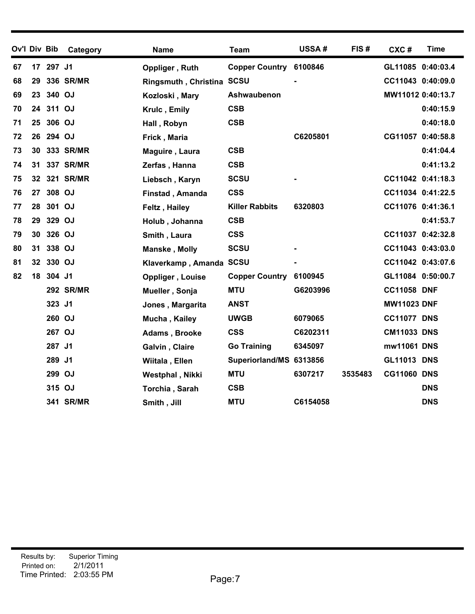| Ov'l Div Bib |    |           | Category         | Name                      | <b>Team</b>             | USSA#          | FIS#    | CXC#               | <b>Time</b> |
|--------------|----|-----------|------------------|---------------------------|-------------------------|----------------|---------|--------------------|-------------|
| 67           |    | 17 297 J1 |                  | Oppliger, Ruth            | Copper Country 6100846  |                |         | GL11085 0:40:03.4  |             |
| 68           | 29 |           | 336 SR/MR        | Ringsmuth, Christina SCSU |                         |                |         | CC11043 0:40:09.0  |             |
| 69           | 23 | 340 OJ    |                  | Kozloski, Mary            | Ashwaubenon             |                |         | MW11012 0:40:13.7  |             |
| 70           |    | 24 311 OJ |                  | Krulc, Emily              | <b>CSB</b>              |                |         |                    | 0:40:15.9   |
| 71           |    | 25 306 OJ |                  | Hall, Robyn               | <b>CSB</b>              |                |         |                    | 0:40:18.0   |
| 72           |    | 26 294 OJ |                  | Frick, Maria              |                         | C6205801       |         | CG11057 0:40:58.8  |             |
| 73           | 30 |           | 333 SR/MR        | Maguire, Laura            | <b>CSB</b>              |                |         |                    | 0:41:04.4   |
| 74           | 31 |           | 337 SR/MR        | Zerfas, Hanna             | <b>CSB</b>              |                |         |                    | 0:41:13.2   |
| 75           |    |           | 32 321 SR/MR     | Liebsch, Karyn            | <b>SCSU</b>             |                |         | CC11042 0:41:18.3  |             |
| 76           |    | 27 308 OJ |                  | Finstad, Amanda           | <b>CSS</b>              |                |         | CC11034 0:41:22.5  |             |
| 77           | 28 | 301 OJ    |                  | Feltz, Hailey             | <b>Killer Rabbits</b>   | 6320803        |         | CC11076 0:41:36.1  |             |
| 78           | 29 | 329 OJ    |                  | Holub, Johanna            | <b>CSB</b>              |                |         |                    | 0:41:53.7   |
| 79           | 30 | 326 OJ    |                  | Smith, Laura              | <b>CSS</b>              |                |         | CC11037 0:42:32.8  |             |
| 80           | 31 | 338 OJ    |                  | Manske, Molly             | <b>SCSU</b>             | $\blacksquare$ |         | CC11043 0:43:03.0  |             |
| 81           |    | 32 330 OJ |                  | Klaverkamp, Amanda SCSU   |                         |                |         | CC11042 0:43:07.6  |             |
| 82           | 18 | 304 J1    |                  | Oppliger, Louise          | <b>Copper Country</b>   | 6100945        |         | GL11084 0:50:00.7  |             |
|              |    |           | <b>292 SR/MR</b> | Mueller, Sonja            | <b>MTU</b>              | G6203996       |         | <b>CC11058 DNF</b> |             |
|              |    | 323 J1    |                  | Jones, Margarita          | <b>ANST</b>             |                |         | <b>MW11023 DNF</b> |             |
|              |    | 260 OJ    |                  | Mucha, Kailey             | <b>UWGB</b>             | 6079065        |         | <b>CC11077 DNS</b> |             |
|              |    | 267 OJ    |                  | Adams, Brooke             | <b>CSS</b>              | C6202311       |         | <b>CM11033 DNS</b> |             |
|              |    | 287       | J <sub>1</sub>   | Galvin, Claire            | <b>Go Training</b>      | 6345097        |         | mw11061 DNS        |             |
|              |    | 289 J1    |                  | Wiitala, Ellen            | Superiorland/MS 6313856 |                |         | <b>GL11013 DNS</b> |             |
|              |    | 299       | OJ               | Westphal, Nikki           | <b>MTU</b>              | 6307217        | 3535483 | <b>CG11060 DNS</b> |             |
|              |    | 315 OJ    |                  | Torchia, Sarah            | <b>CSB</b>              |                |         |                    | <b>DNS</b>  |
|              |    |           | 341 SR/MR        | Smith, Jill               | <b>MTU</b>              | C6154058       |         |                    | <b>DNS</b>  |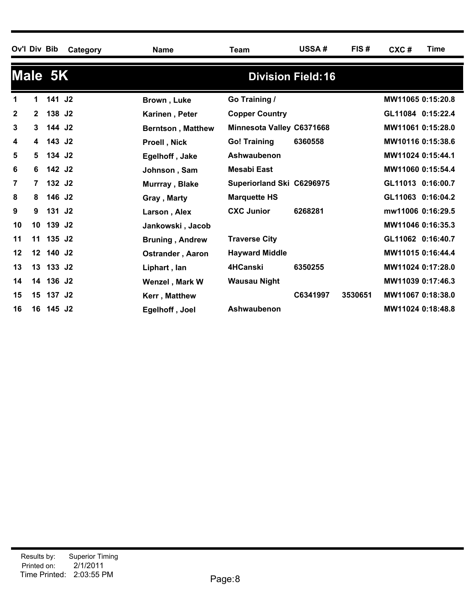|    |                | Ov'l Div Bib       | Category | <b>Name</b>              | Team                      | <b>USSA#</b>              | FIS#    | CXC#              | Time |
|----|----------------|--------------------|----------|--------------------------|---------------------------|---------------------------|---------|-------------------|------|
|    |                | Male 5K            |          |                          |                           | <b>Division Field: 16</b> |         |                   |      |
|    | $\mathbf 1$    | 141 J2             |          | Brown, Luke              | Go Training /             |                           |         | MW11065 0:15:20.8 |      |
| 2  | $\mathbf{2}$   | 138 J <sub>2</sub> |          | Karinen, Peter           | <b>Copper Country</b>     |                           |         | GL11084 0:15:22.4 |      |
| 3  | 3              | 144 J2             |          | <b>Berntson, Matthew</b> | Minnesota Valley C6371668 |                           |         | MW11061 0:15:28.0 |      |
| 4  | 4              | 143 J2             |          | Proell, Nick             | <b>Go! Training</b>       | 6360558                   |         | MW10116 0:15:38.6 |      |
| 5  | 5              | 134 J2             |          | Egelhoff, Jake           | Ashwaubenon               |                           |         | MW11024 0:15:44.1 |      |
| 6  | 6              | 142 J2             |          | Johnson, Sam             | <b>Mesabi East</b>        |                           |         | MW11060 0:15:54.4 |      |
| 7  | $\overline{7}$ | 132 J <sub>2</sub> |          | Murrray, Blake           | Superiorland Ski C6296975 |                           |         | GL11013 0:16:00.7 |      |
| 8  | 8              | 146 J2             |          | Gray, Marty              | <b>Marquette HS</b>       |                           |         | GL11063 0:16:04.2 |      |
| 9  | 9              | 131 J <sub>2</sub> |          | Larson, Alex             | <b>CXC Junior</b>         | 6268281                   |         | mw11006 0:16:29.5 |      |
| 10 | 10             | 139 J <sub>2</sub> |          | Jankowski, Jacob         |                           |                           |         | MW11046 0:16:35.3 |      |
| 11 | 11             | 135 J2             |          | <b>Bruning, Andrew</b>   | <b>Traverse City</b>      |                           |         | GL11062 0:16:40.7 |      |
| 12 |                | 12 140 J2          |          | <b>Ostrander, Aaron</b>  | <b>Hayward Middle</b>     |                           |         | MW11015 0:16:44.4 |      |
| 13 |                | 13 133 J2          |          | Liphart, lan             | 4HCanski                  | 6350255                   |         | MW11024 0:17:28.0 |      |
| 14 |                | 14 136 J2          |          | Wenzel, Mark W           | <b>Wausau Night</b>       |                           |         | MW11039 0:17:46.3 |      |
| 15 |                | 15 137 J2          |          | Kerr, Matthew            |                           | C6341997                  | 3530651 | MW11067 0:18:38.0 |      |
| 16 |                | 16 145 J2          |          | Egelhoff, Joel           | Ashwaubenon               |                           |         | MW11024 0:18:48.8 |      |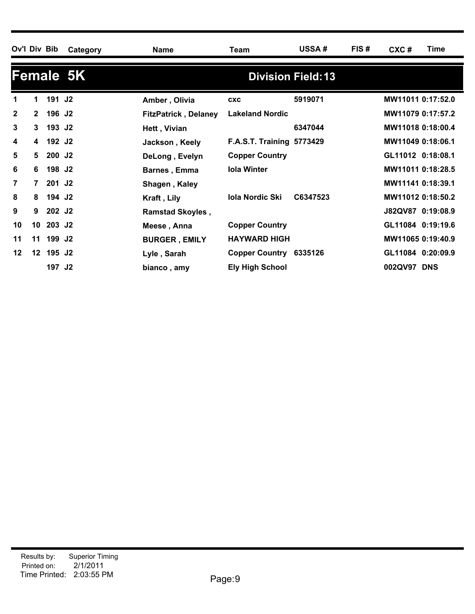| Ov'l Div Bib   |                 |                    | Category  | <b>Name</b>                 | Team                             | <b>USSA#</b>              | FIS# | CXC#              | Time |
|----------------|-----------------|--------------------|-----------|-----------------------------|----------------------------------|---------------------------|------|-------------------|------|
|                |                 |                    | Female 5K |                             |                                  | <b>Division Field: 13</b> |      |                   |      |
| 1              | 1.              | 191 J <sub>2</sub> |           | Amber, Olivia               | <b>CXC</b>                       | 5919071                   |      | MW11011 0:17:52.0 |      |
| $\mathbf{2}$   | $\mathbf{2}$    | 196 J <sub>2</sub> |           | <b>FitzPatrick, Delaney</b> | <b>Lakeland Nordic</b>           |                           |      | MW11079 0:17:57.2 |      |
| $\mathbf{3}$   | 3               | 193 J <sub>2</sub> |           | Hett, Vivian                |                                  | 6347044                   |      | MW11018 0:18:00.4 |      |
| 4              | 4               | 192 J <sub>2</sub> |           | Jackson, Keely              | <b>F.A.S.T. Training 5773429</b> |                           |      | MW11049 0:18:06.1 |      |
| 5              | 5               | 200 J <sub>2</sub> |           | DeLong, Evelyn              | <b>Copper Country</b>            |                           |      | GL11012 0:18:08.1 |      |
| 6              | 6               | 198 J <sub>2</sub> |           | <b>Barnes, Emma</b>         | <b>Iola Winter</b>               |                           |      | MW11011 0:18:28.5 |      |
| $\overline{7}$ | $\overline{7}$  | 201 J <sub>2</sub> |           | Shagen, Kaley               |                                  |                           |      | MW11141 0:18:39.1 |      |
| 8              | 8               | 194 J <sub>2</sub> |           | Kraft, Lily                 | <b>Iola Nordic Ski</b>           | C6347523                  |      | MW11012 0:18:50.2 |      |
| 9              | 9               | 202 J <sub>2</sub> |           | <b>Ramstad Skoyles,</b>     |                                  |                           |      | J82QV87 0:19:08.9 |      |
| 10             | 10 <sup>1</sup> | 203 J <sub>2</sub> |           | Meese, Anna                 | <b>Copper Country</b>            |                           |      | GL11084 0:19:19.6 |      |
| 11             | 11              | 199 J <sub>2</sub> |           | <b>BURGER, EMILY</b>        | <b>HAYWARD HIGH</b>              |                           |      | MW11065 0:19:40.9 |      |
| 12             | 12 <sup>1</sup> | 195 J <sub>2</sub> |           | Lyle, Sarah                 | Copper Country 6335126           |                           |      | GL11084 0:20:09.9 |      |
|                |                 | 197 J <sub>2</sub> |           | bianco, amy                 | <b>Ely High School</b>           |                           |      | 002QV97 DNS       |      |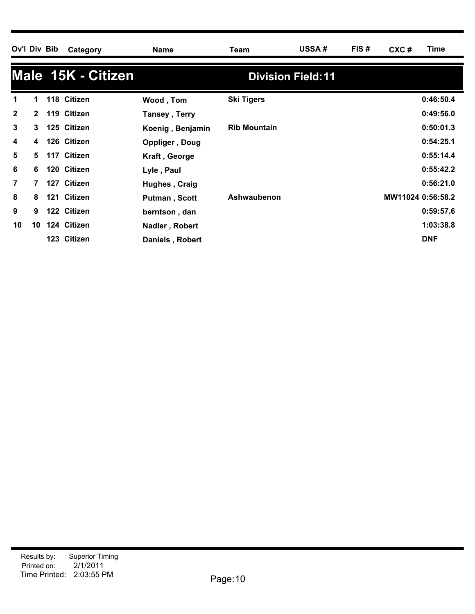| Ov'l Div Bib   |              | Category           | <b>Name</b>      | Team                | <b>USSA#</b>              | FIS# | CXC#              | Time       |
|----------------|--------------|--------------------|------------------|---------------------|---------------------------|------|-------------------|------------|
|                |              | Male 15K - Citizen |                  |                     | <b>Division Field: 11</b> |      |                   |            |
| 1              | 1            | 118 Citizen        | Wood, Tom        | <b>Ski Tigers</b>   |                           |      |                   | 0:46:50.4  |
| $\mathbf{2}$   | $\mathbf{2}$ | 119 Citizen        | Tansey, Terry    |                     |                           |      |                   | 0:49:56.0  |
| 3              | 3            | 125 Citizen        | Koenig, Benjamin | <b>Rib Mountain</b> |                           |      |                   | 0:50:01.3  |
| 4              | 4            | 126 Citizen        | Oppliger, Doug   |                     |                           |      |                   | 0:54:25.1  |
| 5              | 5            | 117 Citizen        | Kraft, George    |                     |                           |      |                   | 0:55:14.4  |
| 6              | 6            | 120 Citizen        | Lyle, Paul       |                     |                           |      |                   | 0:55:42.2  |
| $\overline{7}$ | 7            | 127 Citizen        | Hughes, Craig    |                     |                           |      |                   | 0:56:21.0  |
| 8              | 8            | 121 Citizen        | Putman, Scott    | Ashwaubenon         |                           |      | MW11024 0:56:58.2 |            |
| 9              | 9            | 122 Citizen        | berntson, dan    |                     |                           |      |                   | 0:59:57.6  |
| 10             | 10           | 124 Citizen        | Nadler, Robert   |                     |                           |      |                   | 1:03:38.8  |
|                |              | 123 Citizen        | Daniels, Robert  |                     |                           |      |                   | <b>DNF</b> |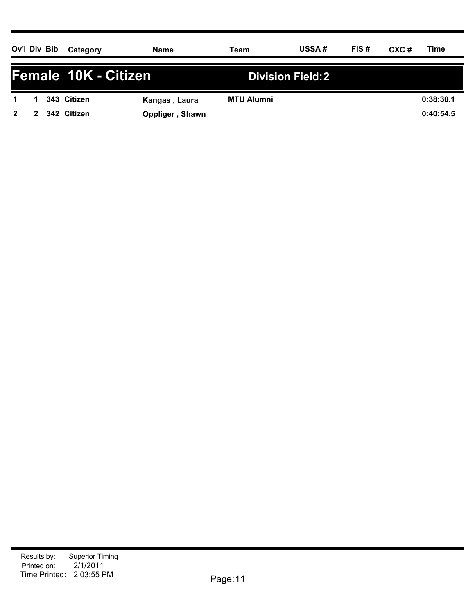| Ov'l Div Bib         |   |  | Category    | Name            | Team              | <b>USSA#</b>             | FIS# | $CXC$ # | Time      |
|----------------------|---|--|-------------|-----------------|-------------------|--------------------------|------|---------|-----------|
| Female 10K - Citizen |   |  |             |                 |                   | <b>Division Field: 2</b> |      |         |           |
|                      |   |  | 343 Citizen | Kangas, Laura   | <b>MTU Alumni</b> |                          |      |         | 0:38:30.1 |
| $\overline{2}$       | 2 |  | 342 Citizen | Oppliger, Shawn |                   |                          |      |         | 0:40:54.5 |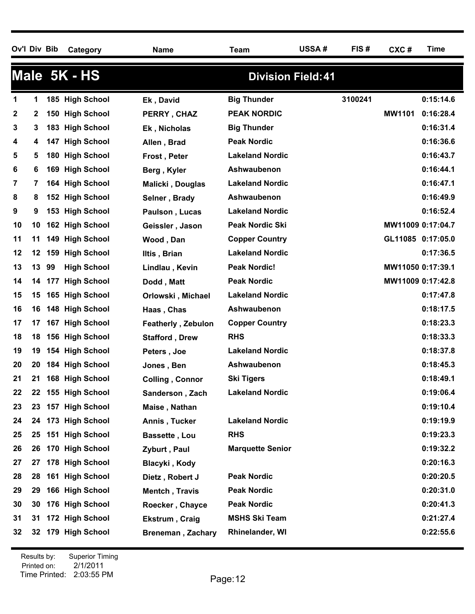**Ov'l Div Bib Category Name Team USSA # FIS # CXC # Time**

|              |         | Male 5K - HS              |                           | <b>Division Field: 41</b> |         |                     |
|--------------|---------|---------------------------|---------------------------|---------------------------|---------|---------------------|
| 1            | 1       | 185 High School           | Ek, David                 | <b>Big Thunder</b>        | 3100241 | 0:15:14.6           |
| $\mathbf{2}$ | 2       | 150 High School           | PERRY, CHAZ               | <b>PEAK NORDIC</b>        |         | MW1101<br>0:16:28.4 |
| 3            | 3       | 183 High School           | Ek, Nicholas              | <b>Big Thunder</b>        |         | 0:16:31.4           |
| 4            | 4       | <b>High School</b><br>147 | Allen, Brad               | <b>Peak Nordic</b>        |         | 0:16:36.6           |
| 5            | 5       | 180 High School           | Frost, Peter              | <b>Lakeland Nordic</b>    |         | 0:16:43.7           |
| 6            | 6       | <b>High School</b><br>169 | Berg, Kyler               | Ashwaubenon               |         | 0:16:44.1           |
| 7            | 7       | 164 High School           | Malicki, Douglas          | <b>Lakeland Nordic</b>    |         | 0:16:47.1           |
| 8            | 8       | 152 High School           | Selner, Brady             | Ashwaubenon               |         | 0:16:49.9           |
| 9            | 9       | 153 High School           | Paulson, Lucas            | <b>Lakeland Nordic</b>    |         | 0:16:52.4           |
| 10           | 10      | 162 High School           | Geissler, Jason           | <b>Peak Nordic Ski</b>    |         | MW11009 0:17:04.7   |
| 11           | 11      | 149 High School           | Wood, Dan                 | <b>Copper Country</b>     |         | GL11085 0:17:05.0   |
| 12           | $12 \,$ | <b>High School</b><br>159 | Iltis, Brian              | <b>Lakeland Nordic</b>    |         | 0:17:36.5           |
| 13           | 13      | 99<br><b>High School</b>  | Lindlau, Kevin            | <b>Peak Nordic!</b>       |         | MW11050 0:17:39.1   |
| 14           | 14      | <b>High School</b><br>177 | Dodd, Matt                | <b>Peak Nordic</b>        |         | MW11009 0:17:42.8   |
| 15           | 15      | 165 High School           | Orlowski, Michael         | <b>Lakeland Nordic</b>    |         | 0:17:47.8           |
| 16           | 16      | 148 High School           | Haas, Chas                | Ashwaubenon               |         | 0:18:17.5           |
| 17           | 17      | 167 High School           | <b>Featherly, Zebulon</b> | <b>Copper Country</b>     |         | 0:18:23.3           |
| 18           | 18      | 156 High School           | <b>Stafford, Drew</b>     | <b>RHS</b>                |         | 0:18:33.3           |
| 19           | 19      | 154 High School           | Peters, Joe               | <b>Lakeland Nordic</b>    |         | 0:18:37.8           |
| 20           | 20      | 184 High School           | Jones, Ben                | Ashwaubenon               |         | 0:18:45.3           |
| 21           | 21      | 168 High School           | <b>Colling, Connor</b>    | <b>Ski Tigers</b>         |         | 0:18:49.1           |
| 22           | 22      | 155 High School           | Sanderson, Zach           | <b>Lakeland Nordic</b>    |         | 0:19:06.4           |
| 23           |         | 23 157 High School        | Maise, Nathan             |                           |         | 0:19:10.4           |
| 24           |         | 24 173 High School        | Annis, Tucker             | <b>Lakeland Nordic</b>    |         | 0:19:19.9           |
| 25           | 25      | 151 High School           | <b>Bassette, Lou</b>      | <b>RHS</b>                |         | 0:19:23.3           |
| 26           | 26      | 170 High School           | Zyburt, Paul              | <b>Marquette Senior</b>   |         | 0:19:32.2           |
| 27           | 27      | 178 High School           | Blacyki, Kody             |                           |         | 0:20:16.3           |
| 28           | 28      | 161 High School           | Dietz, Robert J           | <b>Peak Nordic</b>        |         | 0:20:20.5           |
| 29           | 29      | 166 High School           | Mentch, Travis            | <b>Peak Nordic</b>        |         | 0:20:31.0           |
| 30           | 30      | 176 High School           | Roecker, Chayce           | <b>Peak Nordic</b>        |         | 0:20:41.3           |
| 31           | 31      | 172 High School           | Ekstrum, Craig            | <b>MSHS Ski Team</b>      |         | 0:21:27.4           |
| 32           |         | 32 179 High School        | <b>Breneman, Zachary</b>  | Rhinelander, WI           |         | 0:22:55.6           |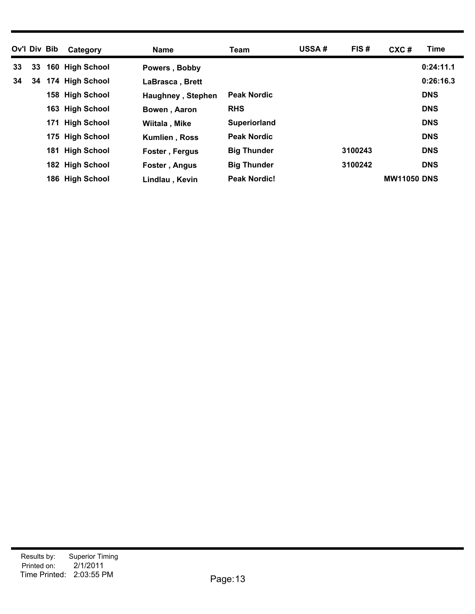| Ov'l Div Bib |    | Category        | <b>Name</b>              | Team                | USSA# | FIS#    | CXC#               | Time       |
|--------------|----|-----------------|--------------------------|---------------------|-------|---------|--------------------|------------|
| 33           | 33 | 160 High School | Powers, Bobby            |                     |       |         |                    | 0:24:11.1  |
| 34           | 34 | 174 High School | LaBrasca, Brett          |                     |       |         |                    | 0:26:16.3  |
|              |    | 158 High School | <b>Haughney, Stephen</b> | <b>Peak Nordic</b>  |       |         |                    | <b>DNS</b> |
|              |    | 163 High School | Bowen, Aaron             | <b>RHS</b>          |       |         |                    | <b>DNS</b> |
|              |    | 171 High School | Wiitala, Mike            | <b>Superiorland</b> |       |         |                    | <b>DNS</b> |
|              |    | 175 High School | <b>Kumlien, Ross</b>     | <b>Peak Nordic</b>  |       |         |                    | <b>DNS</b> |
|              |    | 181 High School | Foster, Fergus           | <b>Big Thunder</b>  |       | 3100243 |                    | <b>DNS</b> |
|              |    | 182 High School | Foster, Angus            | <b>Big Thunder</b>  |       | 3100242 |                    | <b>DNS</b> |
|              |    | 186 High School | Lindlau, Kevin           | <b>Peak Nordic!</b> |       |         | <b>MW11050 DNS</b> |            |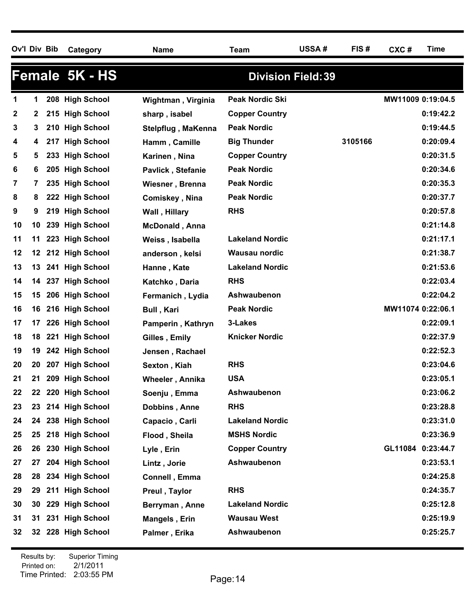| Ov'l Div Bib |     |     | Category           | <b>Name</b>           | Team                      | USSA# | FIS#    | CXC#              | <b>Time</b> |
|--------------|-----|-----|--------------------|-----------------------|---------------------------|-------|---------|-------------------|-------------|
|              |     |     | Female 5K - HS     |                       | <b>Division Field: 39</b> |       |         |                   |             |
| 1            | 1   | 208 | <b>High School</b> | Wightman, Virginia    | <b>Peak Nordic Ski</b>    |       |         | MW11009 0:19:04.5 |             |
| 2            | 2   |     | 215 High School    | sharp, isabel         | <b>Copper Country</b>     |       |         |                   | 0:19:42.2   |
| 3            | 3   |     | 210 High School    | Stelpflug, MaKenna    | <b>Peak Nordic</b>        |       |         |                   | 0:19:44.5   |
| 4            | 4   | 217 | <b>High School</b> | Hamm, Camille         | <b>Big Thunder</b>        |       | 3105166 |                   | 0:20:09.4   |
| 5            | 5   | 233 | <b>High School</b> | Karinen, Nina         | <b>Copper Country</b>     |       |         |                   | 0:20:31.5   |
| 6            | 6   |     | 205 High School    | Pavlick, Stefanie     | <b>Peak Nordic</b>        |       |         |                   | 0:20:34.6   |
| 7            | 7   |     | 235 High School    | Wiesner, Brenna       | <b>Peak Nordic</b>        |       |         |                   | 0:20:35.3   |
| 8            | 8   | 222 | <b>High School</b> | Comiskey, Nina        | <b>Peak Nordic</b>        |       |         |                   | 0:20:37.7   |
| 9            | 9   |     | 219 High School    | Wall, Hillary         | <b>RHS</b>                |       |         |                   | 0:20:57.8   |
| 10           | 10  | 239 | <b>High School</b> | <b>McDonald, Anna</b> |                           |       |         |                   | 0:21:14.8   |
| 11           | 11  | 223 | <b>High School</b> | Weiss, Isabella       | <b>Lakeland Nordic</b>    |       |         |                   | 0:21:17.1   |
| 12           | 12  |     | 212 High School    | anderson, kelsi       | <b>Wausau nordic</b>      |       |         |                   | 0:21:38.7   |
| 13           | 13  | 241 | <b>High School</b> | Hanne, Kate           | <b>Lakeland Nordic</b>    |       |         |                   | 0:21:53.6   |
| 14           | 14  | 237 | <b>High School</b> | Katchko, Daria        | <b>RHS</b>                |       |         |                   | 0:22:03.4   |
| 15           | 15  |     | 206 High School    | Fermanich, Lydia      | Ashwaubenon               |       |         |                   | 0:22:04.2   |
| 16           | 16  |     | 216 High School    | <b>Bull, Kari</b>     | <b>Peak Nordic</b>        |       |         | MW11074 0:22:06.1 |             |
| 17           | 17  |     | 226 High School    | Pamperin, Kathryn     | 3-Lakes                   |       |         |                   | 0:22:09.1   |
| 18           | 18  | 221 | <b>High School</b> | Gilles, Emily         | <b>Knicker Nordic</b>     |       |         |                   | 0:22:37.9   |
| 19           | 19  |     | 242 High School    | Jensen, Rachael       |                           |       |         |                   | 0:22:52.3   |
| 20           | 20  | 207 | <b>High School</b> | Sexton, Kiah          | <b>RHS</b>                |       |         |                   | 0:23:04.6   |
| 21           | 21  |     | 209 High School    | Wheeler, Annika       | <b>USA</b>                |       |         |                   | 0:23:05.1   |
| 22           |     |     | 22 220 High School | Soenju, Emma          | Ashwaubenon               |       |         |                   | 0:23:06.2   |
| 23           | 23  |     | 214 High School    | Dobbins, Anne         | <b>RHS</b>                |       |         |                   | 0:23:28.8   |
| 24           |     |     | 24 238 High School | Capacio, Carli        | <b>Lakeland Nordic</b>    |       |         |                   | 0:23:31.0   |
| 25           | 25. |     | 218 High School    | Flood, Sheila         | <b>MSHS Nordic</b>        |       |         |                   | 0:23:36.9   |
| 26           | 26  |     | 230 High School    | Lyle, Erin            | <b>Copper Country</b>     |       |         | GL11084           | 0:23:44.7   |
| 27           | 27  |     | 204 High School    | Lintz, Jorie          | Ashwaubenon               |       |         |                   | 0:23:53.1   |
| 28           | 28  |     | 234 High School    | Connell, Emma         |                           |       |         |                   | 0:24:25.8   |
| 29           | 29  |     | 211 High School    | Preul, Taylor         | <b>RHS</b>                |       |         |                   | 0:24:35.7   |
| 30           | 30  |     | 229 High School    | Berryman, Anne        | <b>Lakeland Nordic</b>    |       |         |                   | 0:25:12.8   |
| 31           | 31  |     | 231 High School    | Mangels, Erin         | <b>Wausau West</b>        |       |         |                   | 0:25:19.9   |
| 32           | 32  |     | 228 High School    | Palmer, Erika         | Ashwaubenon               |       |         |                   | 0:25:25.7   |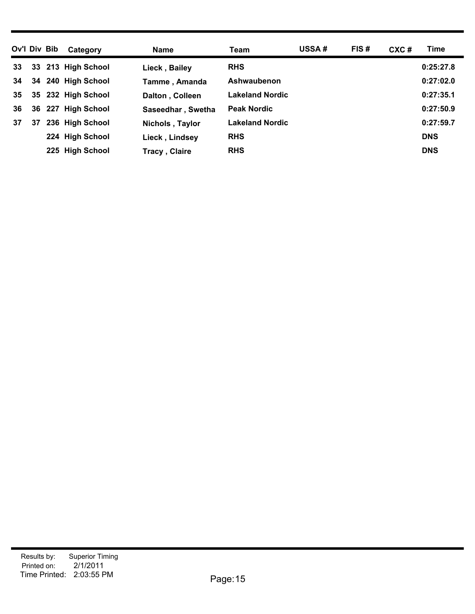| Ov'l Div Bib |    | Category           | <b>Name</b>          | Team                   | <b>USSA#</b> | FIS# | $CXC$ # | Time       |
|--------------|----|--------------------|----------------------|------------------------|--------------|------|---------|------------|
| 33           | 33 | 213 High School    | Lieck, Bailey        | <b>RHS</b>             |              |      |         | 0:25:27.8  |
| 34           |    | 34 240 High School | Tamme, Amanda        | Ashwaubenon            |              |      |         | 0:27:02.0  |
| 35           | 35 | 232 High School    | Dalton, Colleen      | <b>Lakeland Nordic</b> |              |      |         | 0:27:35.1  |
| 36           | 36 | 227 High School    | Saseedhar, Swetha    | <b>Peak Nordic</b>     |              |      |         | 0:27:50.9  |
| 37           | 37 | 236 High School    | Nichols, Taylor      | <b>Lakeland Nordic</b> |              |      |         | 0:27:59.7  |
|              |    | 224 High School    | Lieck, Lindsey       | <b>RHS</b>             |              |      |         | <b>DNS</b> |
|              |    | 225 High School    | <b>Tracy, Claire</b> | <b>RHS</b>             |              |      |         | <b>DNS</b> |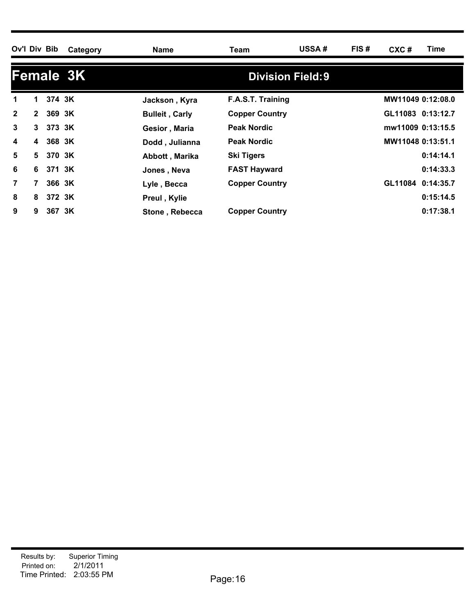| Ov'l Div Bib     |              |          | Category | <b>Name</b>           | Team                     | USSA# | FIS# | $CXC$ #           | Time      |  |  |  |
|------------------|--------------|----------|----------|-----------------------|--------------------------|-------|------|-------------------|-----------|--|--|--|
| <b>Female 3K</b> |              |          |          |                       | <b>Division Field: 9</b> |       |      |                   |           |  |  |  |
| 1                | 1.           | 374 3K   |          | Jackson, Kyra         | F.A.S.T. Training        |       |      | MW11049 0:12:08.0 |           |  |  |  |
| $\mathbf{2}$     | $\mathbf{2}$ | 369 3K   |          | <b>Bulleit, Carly</b> | <b>Copper Country</b>    |       |      | GL11083 0:13:12.7 |           |  |  |  |
| 3                |              | 3 373 3K |          | Gesior, Maria         | <b>Peak Nordic</b>       |       |      | mw11009 0:13:15.5 |           |  |  |  |
| 4                | 4            | 368 3K   |          | Dodd, Julianna        | <b>Peak Nordic</b>       |       |      | MW11048 0:13:51.1 |           |  |  |  |
| 5                |              | 5 370 3K |          | Abbott, Marika        | Ski Tigers               |       |      |                   | 0:14:14.1 |  |  |  |
| 6                | 6            | 371 3K   |          | Jones, Neva           | <b>FAST Hayward</b>      |       |      |                   | 0:14:33.3 |  |  |  |
| $\overline{7}$   |              | 366 3K   |          | Lyle, Becca           | <b>Copper Country</b>    |       |      | GL11084 0:14:35.7 |           |  |  |  |
| 8                | 8            | 372 3K   |          | Preul, Kylie          |                          |       |      |                   | 0:15:14.5 |  |  |  |
| 9                | 9            | 367 3K   |          | Stone, Rebecca        | <b>Copper Country</b>    |       |      |                   | 0:17:38.1 |  |  |  |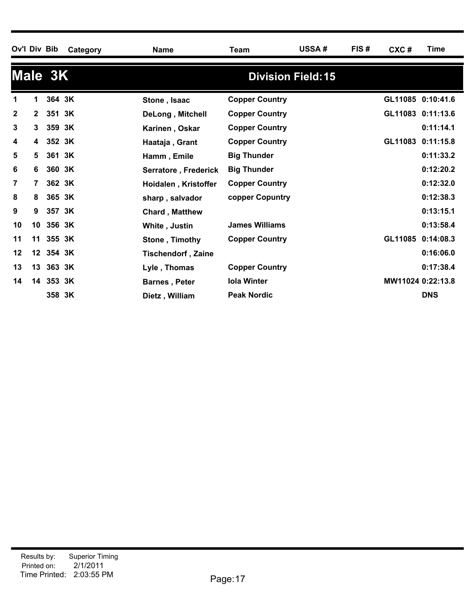| Ov'l Div Bib |                 |           | Category | <b>Name</b>               | Team                  | USSA#                     | FIS# | CXC#    | Time              |
|--------------|-----------------|-----------|----------|---------------------------|-----------------------|---------------------------|------|---------|-------------------|
|              |                 | Male 3K   |          |                           |                       | <b>Division Field: 15</b> |      |         |                   |
|              | 1               | 364 3K    |          | Stone, Isaac              | <b>Copper Country</b> |                           |      |         | GL11085 0:10:41.6 |
| $\mathbf{2}$ | $\mathbf{2}$    | 351 3K    |          | DeLong, Mitchell          | <b>Copper Country</b> |                           |      |         | GL11083 0:11:13.6 |
| 3            | 3               | 359 3K    |          | Karinen, Oskar            | <b>Copper Country</b> |                           |      |         | 0:11:14.1         |
| 4            | 4               | 352 3K    |          | Haataja, Grant            | <b>Copper Country</b> |                           |      | GL11083 | 0:11:15.8         |
| 5            | 5               | 361 3K    |          | Hamm, Emile               | <b>Big Thunder</b>    |                           |      |         | 0:11:33.2         |
| 6            | 6               | 360 3K    |          | Serratore, Frederick      | <b>Big Thunder</b>    |                           |      |         | 0:12:20.2         |
| 7            | $\overline{7}$  | 362 3K    |          | Hoidalen, Kristoffer      | <b>Copper Country</b> |                           |      |         | 0:12:32.0         |
| 8            | 8               | 365 3K    |          | sharp, salvador           | copper Copuntry       |                           |      |         | 0:12:38.3         |
| 9            | 9               | 357 3K    |          | <b>Chard, Matthew</b>     |                       |                           |      |         | 0:13:15.1         |
| 10           | 10              | 356 3K    |          | White, Justin             | <b>James Williams</b> |                           |      |         | 0:13:58.4         |
| 11           | 11              | 355 3K    |          | Stone, Timothy            | <b>Copper Country</b> |                           |      | GL11085 | 0:14:08.3         |
| 12           | 12 <sup>1</sup> | 354 3K    |          | <b>Tischendorf, Zaine</b> |                       |                           |      |         | 0:16:06.0         |
| 13           |                 | 13 363 3K |          | Lyle, Thomas              | <b>Copper Country</b> |                           |      |         | 0:17:38.4         |
| 14           |                 | 14 353 3K |          | <b>Barnes, Peter</b>      | <b>Iola Winter</b>    |                           |      |         | MW11024 0:22:13.8 |
|              |                 | 358 3K    |          | Dietz, William            | <b>Peak Nordic</b>    |                           |      |         | <b>DNS</b>        |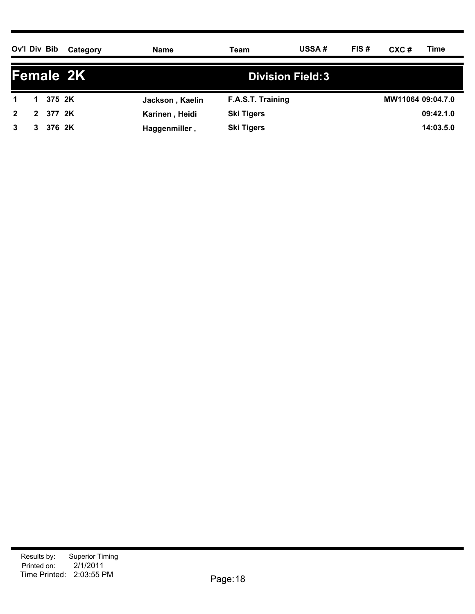| Ov'l Div Bib |              |        | Category | Name            | Team                    | <b>USSA#</b> | FIS# | CXC#              | Time      |  |
|--------------|--------------|--------|----------|-----------------|-------------------------|--------------|------|-------------------|-----------|--|
| Female 2K    |              |        |          |                 | <b>Division Field:3</b> |              |      |                   |           |  |
|              |              | 375 2K |          | Jackson, Kaelin | F.A.S.T. Training       |              |      | MW11064 09:04.7.0 |           |  |
| $2^{\circ}$  | $\mathbf{2}$ | 377 2K |          | Karinen, Heidi  | <b>Ski Tigers</b>       |              |      |                   | 09:42.1.0 |  |
| 3            | 3            | 376 2K |          | Haggenmiller,   | <b>Ski Tigers</b>       |              |      |                   | 14:03.5.0 |  |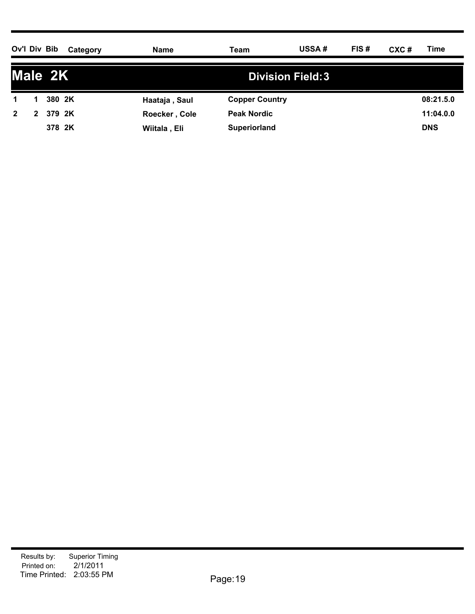| Ov'l Div Bib   |   |         | Category | <b>Name</b>   | Team                  | USSA#                   | FIS# | CXC# | Time       |
|----------------|---|---------|----------|---------------|-----------------------|-------------------------|------|------|------------|
|                |   | Male 2K |          |               |                       | <b>Division Field:3</b> |      |      |            |
| 1              |   | 380 2K  |          | Haataja, Saul | <b>Copper Country</b> |                         |      |      | 08:21.5.0  |
| $\overline{2}$ | 2 | 379 2K  |          | Roecker, Cole | <b>Peak Nordic</b>    |                         |      |      | 11:04.0.0  |
|                |   | 378 2K  |          | Wiitala, Eli  | <b>Superiorland</b>   |                         |      |      | <b>DNS</b> |